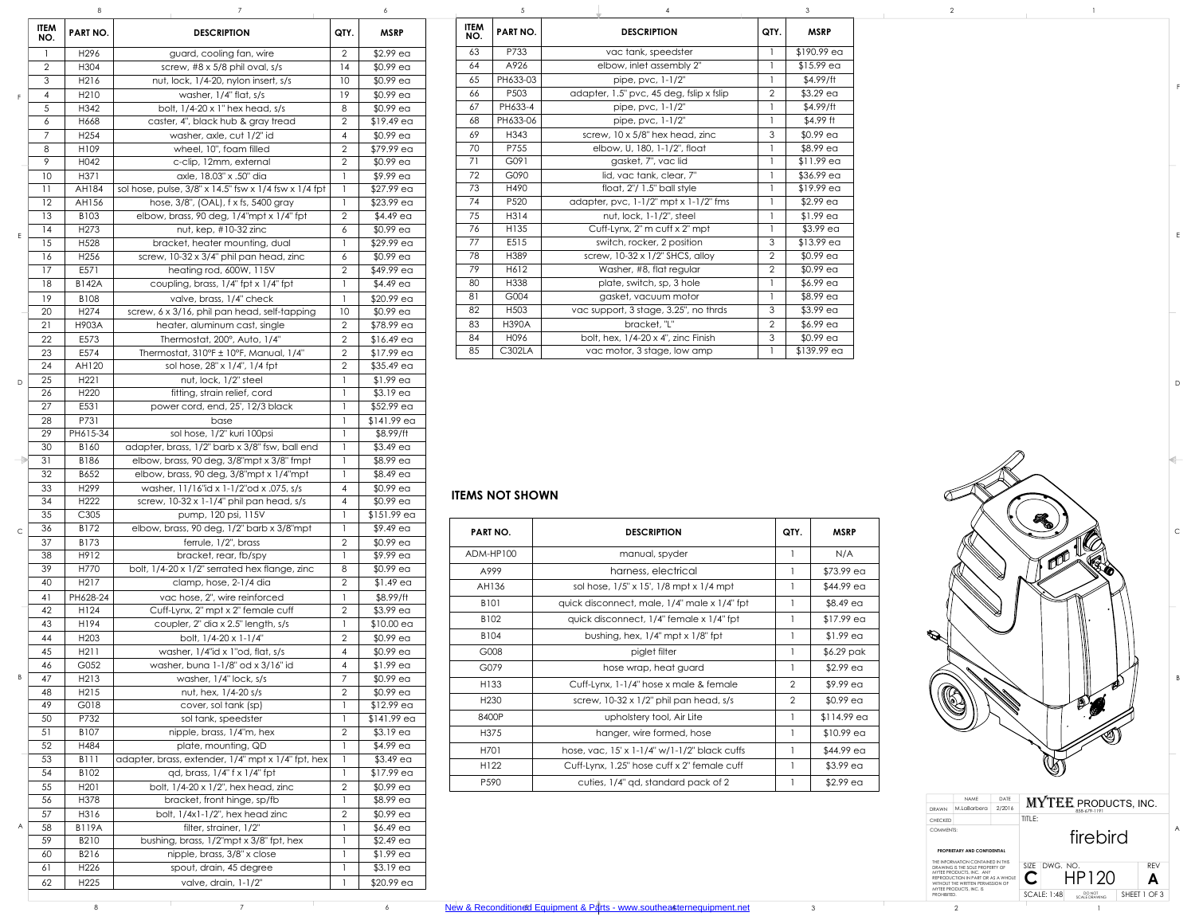## **ITEMS NOT SHOWN**

|               |                    | ŏ                    |                                                                   |                | $\circ$                  |
|---------------|--------------------|----------------------|-------------------------------------------------------------------|----------------|--------------------------|
|               | <b>ITEM</b><br>NO. | <b>PART NO.</b>      | <b>DESCRIPTION</b>                                                | QTY.           | <b>MSRP</b>              |
|               | 1                  | H296                 | guard, cooling fan, wire                                          | $\overline{2}$ | $$2.99$ ea               |
|               | $\overline{2}$     | H304                 | screw, #8 x 5/8 phil oval, s/s                                    | 14             | $$0.99$ ea               |
|               | 3                  | H216                 | nut, lock, 1/4-20, nylon insert, s/s                              | 10             | $$0.99$ ea               |
| F             | $\overline{4}$     | H <sub>2</sub> 10    | washer, $1/4$ " flat, $s/s$                                       | 19             | \$0.99 ea                |
|               | 5                  | H342                 | bolt, 1/4-20 x 1" hex head, s/s                                   | 8              | \$0.99 ea                |
|               | 6                  | H668                 | caster, 4", black hub & gray tread                                | $\overline{2}$ | $$19.49$ ea              |
|               | $\overline{7}$     | H <sub>254</sub>     | washer, axle, cut 1/2" id                                         | $\overline{4}$ | $$0.99$ ea               |
|               | 8                  | H109                 | wheel, 10", foam filled                                           | $\overline{2}$ | \$79.99 ea               |
|               | 9                  | H042                 | c-clip, 12mm, external                                            | $\overline{2}$ | $$0.99$ ea               |
|               | 10                 | H371                 | axle, 18.03" x .50" dia                                           | $\mathbf{1}$   | \$9.99 ea                |
|               | 11                 | <b>AH184</b>         | sol hose, pulse, 3/8" x 14.5" fsw x 1/4 fsw x 1/4 fpt             | $\mathbf{1}$   | \$27.99 ea               |
|               | 12                 | AH156                | hose, 3/8", (OAL), f x fs, 5400 gray                              | $\mathbf{1}$   | \$23.99 ea               |
|               | 13                 | B103                 | elbow, brass, 90 deg, 1/4"mpt x 1/4" fpt                          | $\overline{2}$ | $$4.49$ ea               |
|               | 14                 | H <sub>273</sub>     | nut, kep, #10-32 zinc                                             | 6              | $$0.99$ ea               |
| E             | 15                 | H528                 | bracket, heater mounting, dual                                    | 1              | \$29.99 ea               |
|               | 16                 | H <sub>256</sub>     | screw, 10-32 x 3/4" phil pan head, zinc                           | 6              | \$0.99 ea                |
|               | 17                 | E571                 | heating rod, 600W, 115V                                           | $\overline{2}$ | \$49.99 ea               |
|               | 18                 | <b>B142A</b>         | coupling, brass, 1/4" fpt x 1/4" fpt                              | $\mathbf{1}$   | $$4.49$ ea               |
|               | 19                 | B108                 | valve, brass, 1/4" check                                          | $\mathbf{1}$   | \$20.99 ea               |
|               | 20                 | H <sub>2</sub> 74    | screw, 6 x 3/16, phil pan head, self-tapping                      | 10             | $$0.99$ ea               |
|               | 21                 | H903A                | heater, aluminum cast, single                                     | $\overline{2}$ | \$78.99 ea               |
|               | 22                 | E573                 | Thermostat, 200°, Auto, 1/4"                                      | $\overline{2}$ | $$16.49$ ea              |
|               | 23                 | E574                 | Thermostat, $310^{\circ}$ F ± 10°F, Manual, $1/4$ "               | $\overline{2}$ | $$17.99$ ea              |
|               | 24                 | AH120                | sol hose, 28" x 1/4", 1/4 fpt                                     | $\overline{2}$ | $$35.49$ ea              |
|               | 25                 | H <sub>221</sub>     | nut, lock, 1/2" steel                                             | 1              | $$1.99$ ea               |
| D             | 26                 | H <sub>220</sub>     | fitting, strain relief, cord                                      | 1              | $$3.19$ ea               |
|               | 27                 | E531                 | power cord, end, 25', 12/3 black                                  | 1              | \$52.99 ea               |
|               | 28                 | P731                 | base                                                              | $\mathbf{1}$   | $$141.99$ ea             |
|               | 29                 | PH615-34             | sol hose, 1/2" kuri 100psi                                        | 1              | \$8.99/ft                |
|               | 30                 | B160                 | adapter, brass, 1/2" barb x 3/8" fsw, ball end                    | $\mathbf{1}$   | $$3.49$ ea               |
| $\Rightarrow$ | 31                 | B186                 | elbow, brass, 90 deg, 3/8"mpt x 3/8" fmpt                         | $\mathbf{1}$   | \$8.99 ea                |
|               | 32                 | B652                 | elbow, brass, 90 deg, 3/8"mpt x 1/4"mpt                           | 1              | \$8.49 ea                |
|               | 33                 | H <sub>299</sub>     | washer, 11/16"id x 1-1/2"od x .075, s/s                           | 4              | \$0.99 ea                |
|               | 34                 | H <sub>222</sub>     | screw, 10-32 x 1-1/4" phil pan head, s/s                          | 4              | $$0.99$ ea               |
|               | 35                 | C305                 | pump, 120 psi, 115V                                               | 1              | $$151.99$ ea             |
|               | 36                 | B172                 | elbow, brass, 90 deg, 1/2" barb x 3/8"mpt                         | $\mathbf{I}$   | $$9.49$ ea               |
| $\mathsf C$   | 37                 | B173                 | ferrule, 1/2", brass                                              | $\overline{2}$ | \$0.99 ea                |
|               | 38                 | H912                 | bracket, rear, fb/spy                                             | 1              | \$9.99 ea                |
|               | 39                 | H770                 | bolt, 1/4-20 x 1/2" serrated hex flange, zinc                     | 8              | \$0.99 ea                |
|               | 40                 | H <sub>2</sub> 17    | clamp, hose, 2-1/4 dia                                            | $\overline{2}$ | $$1.49$ ea               |
|               | 41                 | PH628-24             | vac hose, 2", wire reinforced                                     | $\mathbf{1}$   | \$8.99/ft                |
|               | 42                 | H124                 | Cuff-Lynx, 2" mpt x 2" female cuff                                | $\overline{2}$ | \$3.99 ea                |
|               | 43                 | H194                 | coupler, 2" dia x 2.5" length, s/s                                | $\mathbf{I}$   | $$10.00$ ea              |
|               | 44                 | H <sub>203</sub>     | bolt, 1/4-20 x 1-1/4"                                             | $\overline{2}$ | $$0.99$ ea               |
|               | 45                 | H211                 | washer, 1/4"id x 1"od, flat, s/s                                  | 4              | \$0.99 ea                |
|               | 46                 | G052                 | washer, buna 1-1/8" od x 3/16" id                                 | 4              | $$1.99$ ea               |
| Β             | 47                 | H213                 | washer, 1/4" lock, s/s                                            | $\overline{7}$ | \$0.99 ea                |
|               | 48                 | H215                 | nut, hex, 1/4-20 s/s                                              | $\overline{2}$ | \$0.99 ea                |
|               | 49                 | G018                 | cover, sol tank (sp)                                              |                | $$12.99$ ea              |
|               | 50                 | P732                 | sol tank, speedster                                               | 1              | $$141.99$ ea             |
|               | 51                 | B107                 | nipple, brass, 1/4"m, hex                                         | $\overline{2}$ | $$3.19$ ea               |
|               | 52                 | H484                 | plate, mounting, QD                                               | 1              | $$4.99$ ea               |
|               | 53                 | <b>B111</b>          | adapter, brass, extender, 1/4" mpt x 1/4" fpt, hex                | $\mathbf{1}$   | $$3.49$ ea               |
|               | 54                 | B102                 | qd, brass, 1/4" f x 1/4" fpt                                      | $\mathbf{1}$   | $$17.99$ ea              |
|               | 55                 | H <sub>201</sub>     | bolt, $1/4-20 \times 1/2$ ", hex head, zinc                       | $\overline{2}$ | $$0.99$ ea               |
|               | 56                 | H378                 | bracket, front hinge, sp/fb                                       | 1              | \$8.99 ea                |
|               | 57                 |                      |                                                                   | $\overline{2}$ |                          |
| A             |                    | H316                 | bolt, 1/4x1-1/2", hex head zinc                                   |                | $$0.99$ ea               |
|               | 58<br>59           | <b>B119A</b><br>B210 | filter, strainer, 1/2"<br>bushing, brass, 1/2"mpt x 3/8" fpt, hex | 1<br>1         | $$6.49$ ea<br>$$2.49$ ea |
|               | 60                 | B216                 | nipple, brass, 3/8" x close                                       | $\mathbf{1}$   | $$1.99$ ea               |
|               | 61                 | H226                 | spout, drain, 45 degree                                           | 1              | $$3.19$ ea               |
|               |                    |                      |                                                                   |                |                          |
|               | 62                 | H <sub>225</sub>     | valve, drain, 1-1/2"                                              | 1              | \$20.99 ea               |

| IO. | <b>DESCRIPTION</b>                                        | QTY.            | <b>MSRP</b> | <b>ITEM</b><br>NO. | PART NO.         | <b>DESCRIPTION</b>                          | QTY.           | <b>MSRP</b> |  |
|-----|-----------------------------------------------------------|-----------------|-------------|--------------------|------------------|---------------------------------------------|----------------|-------------|--|
|     | guard, cooling fan, wire                                  | $\overline{2}$  | $$2.99$ ea  | 63                 | P733             | vac tank, speedster                         |                | \$190.99 ea |  |
|     | screw, $\#8 \times 5/8$ phil oval, s/s                    | 14              | $$0.99$ ea  | 64                 | A926             | elbow, inlet assembly 2"                    |                | $$15.99$ ea |  |
|     | nut, lock, 1/4-20, nylon insert, s/s                      | 10 <sup>°</sup> | $$0.99$ ea  | 65                 | PH633-03         | pipe, pvc, 1-1/2"                           |                | \$4.99/ft   |  |
|     | washer, $1/4$ " flat, $s/s$                               | 19              | $$0.99$ ea  | 66                 | P <sub>503</sub> | adapter, 1.5" pvc, 45 deg, fslip x fslip    | $\overline{2}$ | $$3.29$ ea  |  |
|     | bolt, $1/4-20 \times 1$ " hex head, s/s                   | 8               | $$0.99$ ea  | 67                 | PH633-4          | pipe, pvc, 1-1/2"                           |                | \$4.99/ft   |  |
|     | caster, 4", black hub & gray tread                        | $\overline{2}$  | $$19.49$ ea | 68                 | PH633-06         | pipe, pvc, 1-1/2"                           |                | $$4.99$ ft  |  |
|     | washer, axle, cut 1/2" id                                 | $\overline{4}$  | $$0.99$ ea  | 69                 | H343             | screw, 10 x 5/8" hex head, zinc             | $\mathcal{S}$  | $$0.99$ ea  |  |
|     | wheel, 10", foam filled                                   | 2               | \$79.99 ea  | 70                 | P755             | elbow, U, 180, 1-1/2", float                |                | \$8.99 ea   |  |
|     | c-clip, 12mm, external                                    | $\overline{2}$  | $$0.99$ ea  | 71                 | G091             | gasket, 7", vac lid                         |                | \$11.99 ea  |  |
|     | axle, 18.03" x .50" dia                                   |                 | \$9.99 ea   | 72                 | G090             | lid, vac tank, clear, 7"                    |                | $$36.99$ ea |  |
|     | sol hose, pulse, 3/8" x 14.5" fsw x 1/4 fsw x 1/4 fpt     |                 | $$27.99$ ea | 73                 | H490             | float, $2''/1.5''$ ball style               |                | \$19.99 ea  |  |
|     | hose, 3/8", (OAL), f x fs, 5400 gray                      |                 | $$23.99$ ea | 74                 | P520             | adapter, pvc, $1-1/2$ " mpt x $1-1/2$ " fms |                | $$2.99$ ea  |  |
|     | elbow, brass, 90 deg, $1/4$ "mpt x $1/4$ " fpt            | $\overline{2}$  | \$4.49 ea   | 75                 | H314             | nut, lock, 1-1/2", steel                    |                | $$1.99$ ea  |  |
|     | nut, kep, $\#10-32$ zinc                                  | 6               | $$0.99$ ea  | 76                 | H135             | Cuff-Lynx, 2" m cuff x 2" mpt               |                | $$3.99$ ea  |  |
|     | bracket, heater mounting, dual                            |                 | $$29.99$ ea | 77                 | E515             | switch, rocker, 2 position                  | $\mathcal{S}$  | $$13.99$ ea |  |
|     | screw, 10-32 x 3/4" phil pan head, zinc                   | 6               | $$0.99$ ea  | 78                 | H389             | screw, 10-32 x 1/2" SHCS, alloy             | $\overline{2}$ | $$0.99$ ea  |  |
|     | heating rod, 600W, 115V                                   | $\overline{2}$  | \$49.99 ea  | 79                 | H612             | Washer, #8, flat regular                    | $\overline{2}$ | $$0.99$ ea  |  |
|     | coupling, brass, $1/4$ " fpt x $1/4$ " fpt                |                 | $$4.49$ ea  | 80                 | H338             | plate, switch, sp, 3 hole                   |                | \$6.99 ea   |  |
|     | valve, brass, 1/4" check                                  |                 | \$20.99 ea  | 81                 | G004             | gasket, vacuum motor                        |                | \$8.99 ea   |  |
|     | screw, 6 x 3/16, phil pan head, self-tapping              | 10 <sup>°</sup> | $$0.99$ ea  | 82                 | H <sub>503</sub> | vac support, 3 stage, 3.25", no thrds       | $\mathcal{S}$  | $$3.99$ ea  |  |
|     | heater, aluminum cast, single                             | $\overline{2}$  | \$78.99 ea  | 83                 | <b>H390A</b>     | bracket, "L"                                | $\overline{2}$ | $$6.99$ ea  |  |
|     | Thermostat, 200°, Auto, 1/4"                              | $\overline{2}$  | $$16.49$ ea | 84                 | H096             | bolt, hex, $1/4-20 \times 4$ ", zinc Finish | $\mathcal{S}$  | $$0.99$ ea  |  |
|     | Thermostat, $310^{\circ}$ F ± 10°F, Manual, $1/4^{\circ}$ | $\overline{2}$  | $$17.99$ ea | 85                 | <b>C302LA</b>    | vac motor, 3 stage, low amp                 |                | \$139.99 ea |  |
|     |                                                           |                 |             |                    |                  |                                             |                |             |  |

| <b>PART NO.</b>  | <b>DESCRIPTION</b>                             | QTY.           | <b>MSRP</b>  |
|------------------|------------------------------------------------|----------------|--------------|
| ADM-HP100        | manual, spyder                                 | $\mathbf{1}$   | N/A          |
| A999             | harness, electrical                            |                | \$73.99 ea   |
| AH136            | sol hose, 1/5" x 15', 1/8 mpt x 1/4 mpt        |                | $$44.99$ ea  |
| <b>B101</b>      | quick disconnect, male, 1/4" male x 1/4" fpt   |                | $$8.49$ ea   |
| B102             | quick disconnect, 1/4" female x 1/4" fpt       |                | $$17.99$ ea  |
| <b>B104</b>      | bushing, hex, $1/4$ " mpt x $1/8$ " fpt        | $\mathbf{1}$   | $$1.99$ ea   |
| G008             | piglet filter                                  |                | \$6.29 pak   |
| G079             | hose wrap, heat guard                          |                | $$2.99$ ea   |
| H <sub>133</sub> | Cuff-Lynx, 1-1/4" hose x male & female         | $\overline{2}$ | $$9.99$ ea   |
| H <sub>230</sub> | screw, $10-32 \times 1/2$ " phil pan head, s/s | 2              | $$0.99$ ea   |
| 8400P            | upholstery tool, Air Lite                      | 1              | $$114.99$ ea |
| H375             | hanger, wire formed, hose                      |                | $$10.99$ ea  |
| H701             | hose, vac, 15' x 1-1/4" w/1-1/2" black cuffs   |                | \$44.99 ea   |
| H <sub>122</sub> | Cuff-Lynx, 1.25" hose cuff x 2" female cuff    |                | $$3.99$ ea   |
| P <sub>590</sub> | cuties, 1/4" gd, standard pack of 2            |                | $$2.99$ ea   |
|                  |                                                |                |              |

D

C

B

E

F



A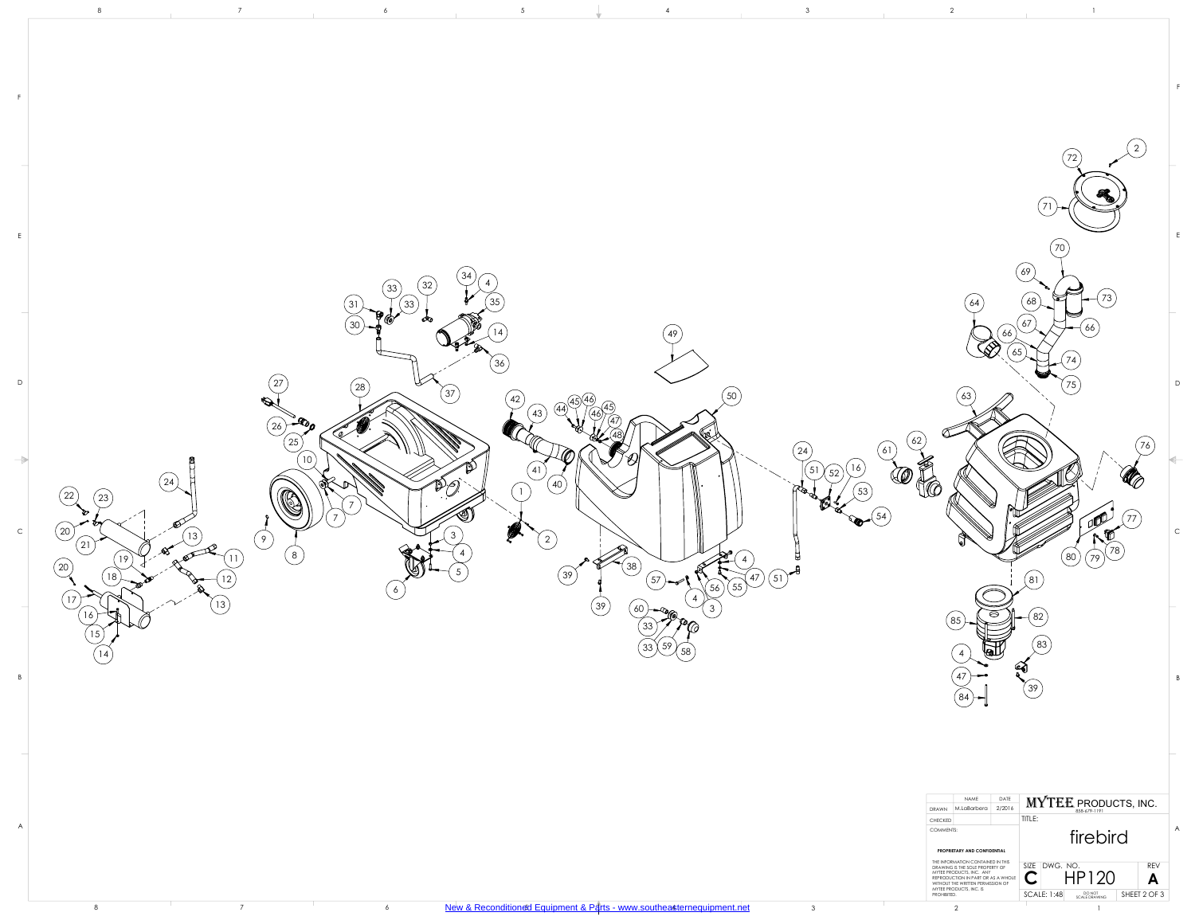